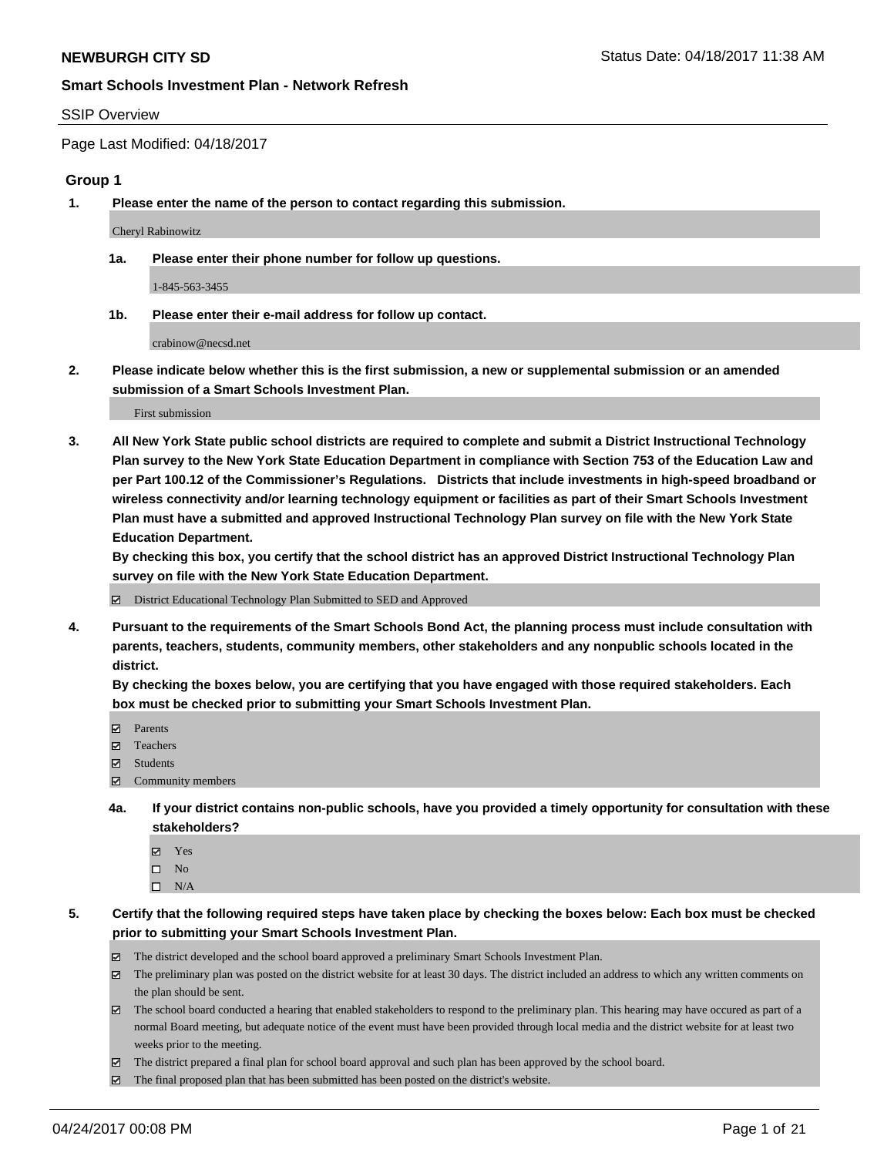#### SSIP Overview

Page Last Modified: 04/18/2017

#### **Group 1**

**1. Please enter the name of the person to contact regarding this submission.**

Cheryl Rabinowitz

**1a. Please enter their phone number for follow up questions.**

1-845-563-3455

**1b. Please enter their e-mail address for follow up contact.**

crabinow@necsd.net

**2. Please indicate below whether this is the first submission, a new or supplemental submission or an amended submission of a Smart Schools Investment Plan.**

First submission

**3. All New York State public school districts are required to complete and submit a District Instructional Technology Plan survey to the New York State Education Department in compliance with Section 753 of the Education Law and per Part 100.12 of the Commissioner's Regulations. Districts that include investments in high-speed broadband or wireless connectivity and/or learning technology equipment or facilities as part of their Smart Schools Investment Plan must have a submitted and approved Instructional Technology Plan survey on file with the New York State Education Department.** 

**By checking this box, you certify that the school district has an approved District Instructional Technology Plan survey on file with the New York State Education Department.**

District Educational Technology Plan Submitted to SED and Approved

**4. Pursuant to the requirements of the Smart Schools Bond Act, the planning process must include consultation with parents, teachers, students, community members, other stakeholders and any nonpublic schools located in the district.** 

**By checking the boxes below, you are certifying that you have engaged with those required stakeholders. Each box must be checked prior to submitting your Smart Schools Investment Plan.**

- **マ** Parents
- □ Teachers
- Students
- $\Xi$  Community members
- **4a. If your district contains non-public schools, have you provided a timely opportunity for consultation with these stakeholders?**
	- Yes
	- $\hfill \square$  No
	- $\square$  N/A
- **5. Certify that the following required steps have taken place by checking the boxes below: Each box must be checked prior to submitting your Smart Schools Investment Plan.**
	- The district developed and the school board approved a preliminary Smart Schools Investment Plan.
	- $\boxtimes$  The preliminary plan was posted on the district website for at least 30 days. The district included an address to which any written comments on the plan should be sent.
	- $\boxtimes$  The school board conducted a hearing that enabled stakeholders to respond to the preliminary plan. This hearing may have occured as part of a normal Board meeting, but adequate notice of the event must have been provided through local media and the district website for at least two weeks prior to the meeting.
	- The district prepared a final plan for school board approval and such plan has been approved by the school board.
	- $\boxtimes$  The final proposed plan that has been submitted has been posted on the district's website.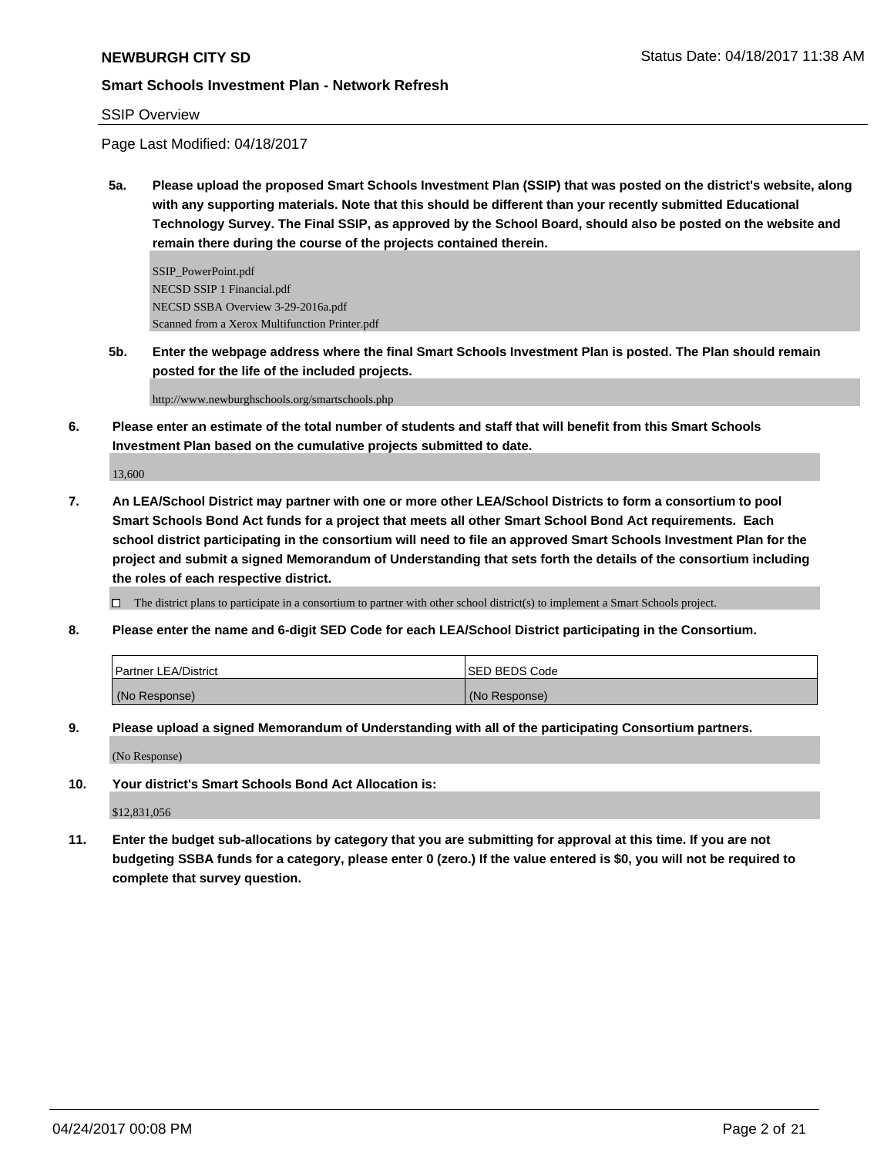#### SSIP Overview

Page Last Modified: 04/18/2017

**5a. Please upload the proposed Smart Schools Investment Plan (SSIP) that was posted on the district's website, along with any supporting materials. Note that this should be different than your recently submitted Educational Technology Survey. The Final SSIP, as approved by the School Board, should also be posted on the website and remain there during the course of the projects contained therein.**

SSIP\_PowerPoint.pdf NECSD SSIP 1 Financial.pdf NECSD SSBA Overview 3-29-2016a.pdf Scanned from a Xerox Multifunction Printer.pdf

**5b. Enter the webpage address where the final Smart Schools Investment Plan is posted. The Plan should remain posted for the life of the included projects.**

http://www.newburghschools.org/smartschools.php

**6. Please enter an estimate of the total number of students and staff that will benefit from this Smart Schools Investment Plan based on the cumulative projects submitted to date.**

13,600

**7. An LEA/School District may partner with one or more other LEA/School Districts to form a consortium to pool Smart Schools Bond Act funds for a project that meets all other Smart School Bond Act requirements. Each school district participating in the consortium will need to file an approved Smart Schools Investment Plan for the project and submit a signed Memorandum of Understanding that sets forth the details of the consortium including the roles of each respective district.**

 $\Box$  The district plans to participate in a consortium to partner with other school district(s) to implement a Smart Schools project.

**8. Please enter the name and 6-digit SED Code for each LEA/School District participating in the Consortium.**

| <b>Partner LEA/District</b> | <b>ISED BEDS Code</b> |
|-----------------------------|-----------------------|
| (No Response)               | (No Response)         |

**9. Please upload a signed Memorandum of Understanding with all of the participating Consortium partners.**

(No Response)

**10. Your district's Smart Schools Bond Act Allocation is:**

\$12,831,056

**11. Enter the budget sub-allocations by category that you are submitting for approval at this time. If you are not budgeting SSBA funds for a category, please enter 0 (zero.) If the value entered is \$0, you will not be required to complete that survey question.**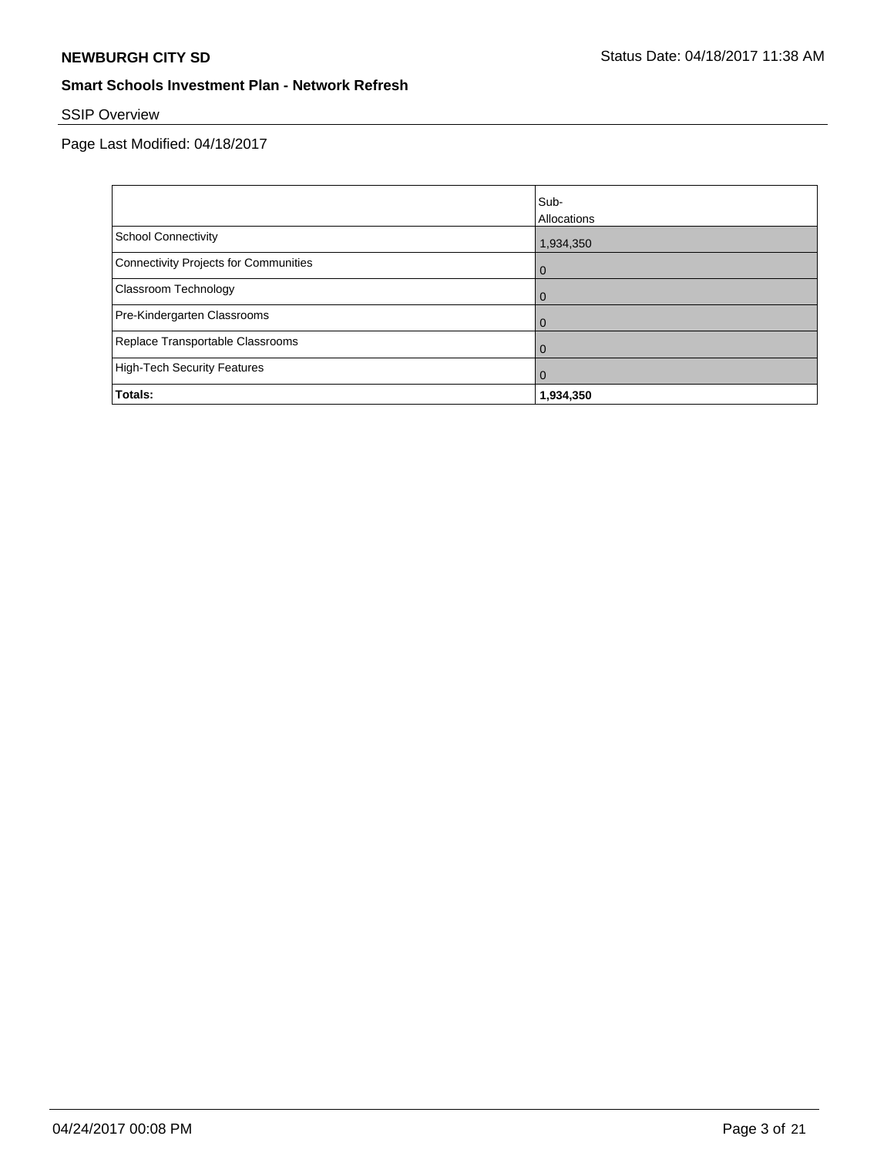# SSIP Overview

Page Last Modified: 04/18/2017

|                                       | Sub-           |
|---------------------------------------|----------------|
|                                       | Allocations    |
| <b>School Connectivity</b>            | 1,934,350      |
| Connectivity Projects for Communities | $\overline{0}$ |
| <b>Classroom Technology</b>           | $\overline{0}$ |
| Pre-Kindergarten Classrooms           | $\Omega$       |
| Replace Transportable Classrooms      | $\mathbf 0$    |
| High-Tech Security Features           | $\mathbf 0$    |
| Totals:                               | 1,934,350      |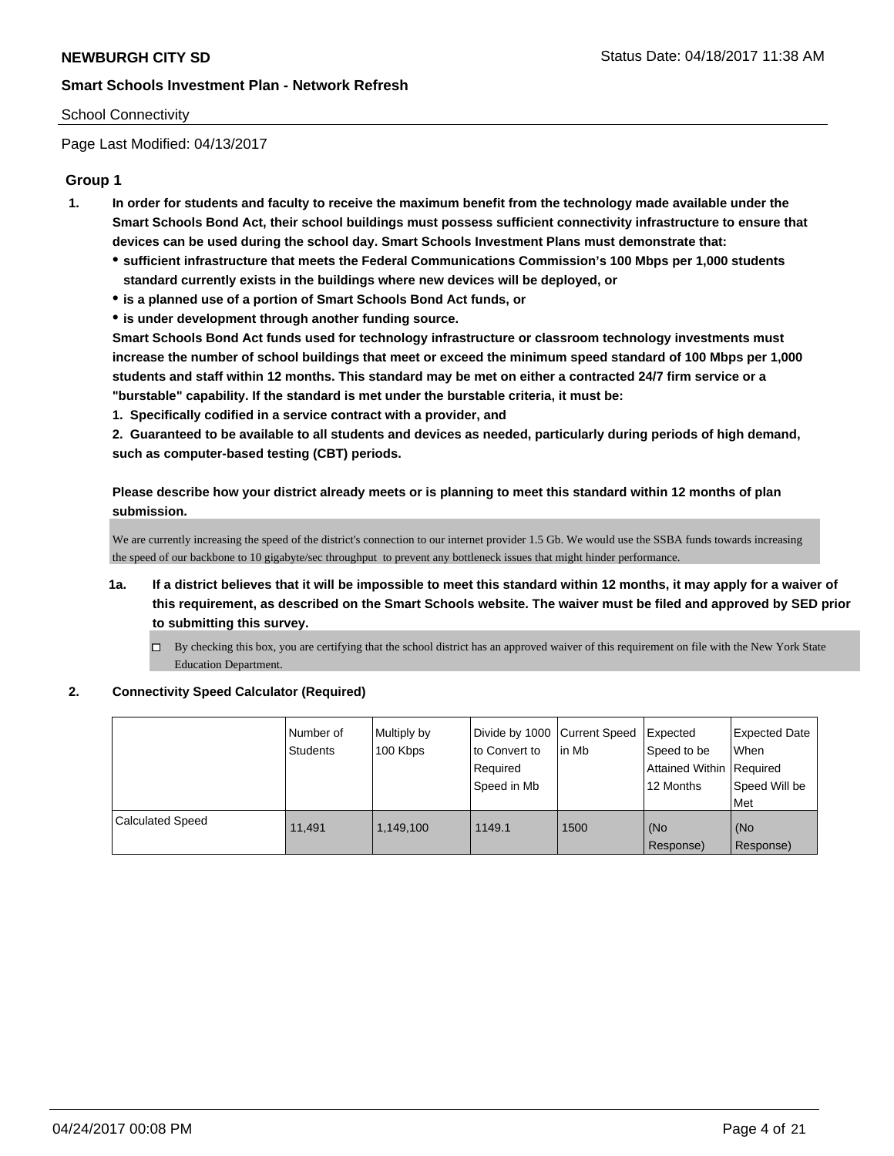### School Connectivity

Page Last Modified: 04/13/2017

## **Group 1**

- **1. In order for students and faculty to receive the maximum benefit from the technology made available under the Smart Schools Bond Act, their school buildings must possess sufficient connectivity infrastructure to ensure that devices can be used during the school day. Smart Schools Investment Plans must demonstrate that:**
	- **sufficient infrastructure that meets the Federal Communications Commission's 100 Mbps per 1,000 students standard currently exists in the buildings where new devices will be deployed, or**
	- **is a planned use of a portion of Smart Schools Bond Act funds, or**
	- **is under development through another funding source.**

**Smart Schools Bond Act funds used for technology infrastructure or classroom technology investments must increase the number of school buildings that meet or exceed the minimum speed standard of 100 Mbps per 1,000 students and staff within 12 months. This standard may be met on either a contracted 24/7 firm service or a "burstable" capability. If the standard is met under the burstable criteria, it must be:**

**1. Specifically codified in a service contract with a provider, and**

**2. Guaranteed to be available to all students and devices as needed, particularly during periods of high demand, such as computer-based testing (CBT) periods.**

**Please describe how your district already meets or is planning to meet this standard within 12 months of plan submission.**

We are currently increasing the speed of the district's connection to our internet provider 1.5 Gb. We would use the SSBA funds towards increasing the speed of our backbone to 10 gigabyte/sec throughput to prevent any bottleneck issues that might hinder performance.

- **1a. If a district believes that it will be impossible to meet this standard within 12 months, it may apply for a waiver of this requirement, as described on the Smart Schools website. The waiver must be filed and approved by SED prior to submitting this survey.**
	- By checking this box, you are certifying that the school district has an approved waiver of this requirement on file with the New York State Education Department.
- **2. Connectivity Speed Calculator (Required)**

|                         | Number of<br><b>Students</b> | Multiply by<br>100 Kbps | Divide by 1000 Current Speed<br>to Convert to<br>Required<br>Speed in Mb | lin Mb | Expected<br>Speed to be<br>Attained Within   Required<br>12 Months | <b>Expected Date</b><br><b>When</b><br>Speed Will be<br>Met |
|-------------------------|------------------------------|-------------------------|--------------------------------------------------------------------------|--------|--------------------------------------------------------------------|-------------------------------------------------------------|
| <b>Calculated Speed</b> | 11.491                       | 1,149,100               | 1149.1                                                                   | 1500   | (No<br>Response)                                                   | (No<br>Response)                                            |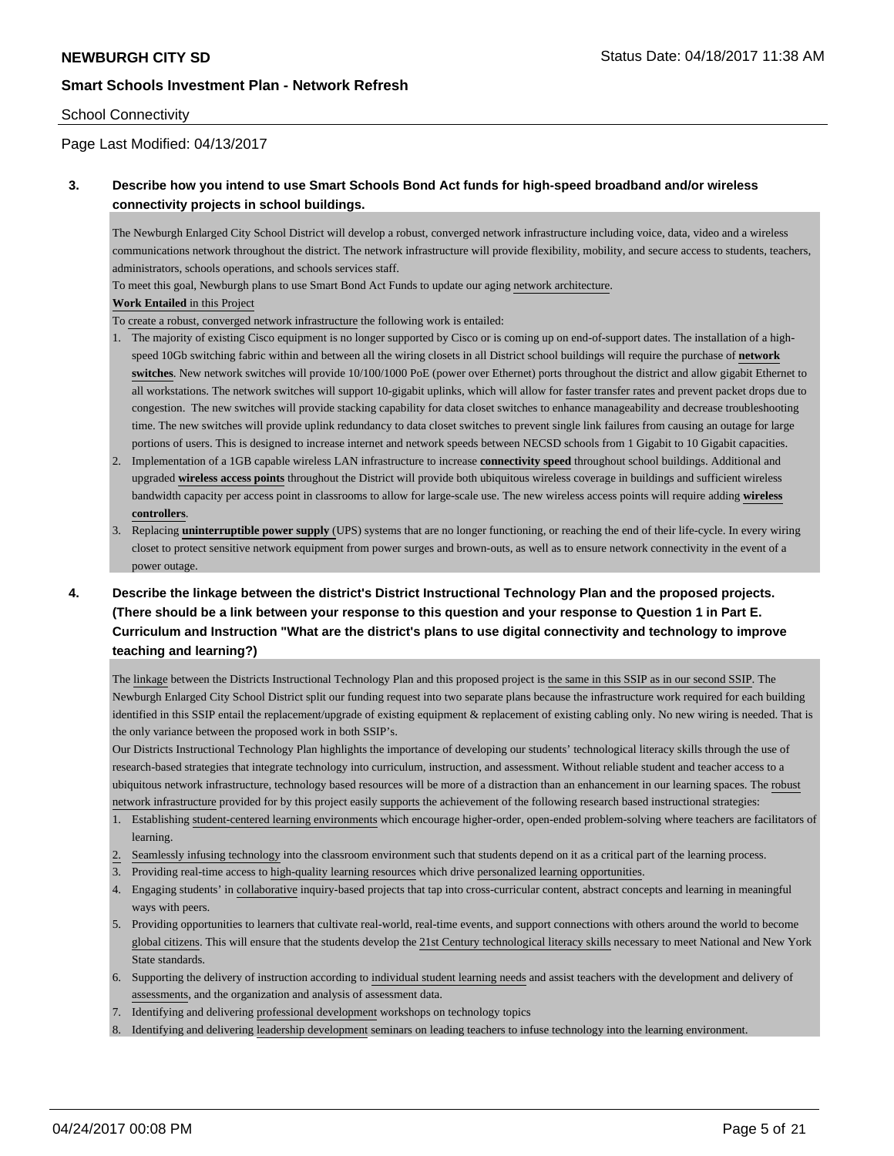#### School Connectivity

Page Last Modified: 04/13/2017

## **3. Describe how you intend to use Smart Schools Bond Act funds for high-speed broadband and/or wireless connectivity projects in school buildings.**

The Newburgh Enlarged City School District will develop a robust, converged network infrastructure including voice, data, video and a wireless communications network throughout the district. The network infrastructure will provide flexibility, mobility, and secure access to students, teachers, administrators, schools operations, and schools services staff.

To meet this goal, Newburgh plans to use Smart Bond Act Funds to update our aging network architecture.

**Work Entailed** in this Project

To create a robust, converged network infrastructure the following work is entailed:

- 1. The majority of existing Cisco equipment is no longer supported by Cisco or is coming up on end-of-support dates. The installation of a highspeed 10Gb switching fabric within and between all the wiring closets in all District school buildings will require the purchase of **network switches**. New network switches will provide 10/100/1000 PoE (power over Ethernet) ports throughout the district and allow gigabit Ethernet to all workstations. The network switches will support 10-gigabit uplinks, which will allow for faster transfer rates and prevent packet drops due to congestion. The new switches will provide stacking capability for data closet switches to enhance manageability and decrease troubleshooting time. The new switches will provide uplink redundancy to data closet switches to prevent single link failures from causing an outage for large portions of users. This is designed to increase internet and network speeds between NECSD schools from 1 Gigabit to 10 Gigabit capacities.
- 2. Implementation of a 1GB capable wireless LAN infrastructure to increase **connectivity speed** throughout school buildings. Additional and upgraded **wireless access points** throughout the District will provide both ubiquitous wireless coverage in buildings and sufficient wireless bandwidth capacity per access point in classrooms to allow for large-scale use. The new wireless access points will require adding **wireless controllers**.
- 3. Replacing **uninterruptible power supply** (UPS) systems that are no longer functioning, or reaching the end of their life-cycle. In every wiring closet to protect sensitive network equipment from power surges and brown-outs, as well as to ensure network connectivity in the event of a power outage.

## **4. Describe the linkage between the district's District Instructional Technology Plan and the proposed projects. (There should be a link between your response to this question and your response to Question 1 in Part E. Curriculum and Instruction "What are the district's plans to use digital connectivity and technology to improve teaching and learning?)**

The linkage between the Districts Instructional Technology Plan and this proposed project is the same in this SSIP as in our second SSIP. The Newburgh Enlarged City School District split our funding request into two separate plans because the infrastructure work required for each building identified in this SSIP entail the replacement/upgrade of existing equipment & replacement of existing cabling only. No new wiring is needed. That is the only variance between the proposed work in both SSIP's.

Our Districts Instructional Technology Plan highlights the importance of developing our students' technological literacy skills through the use of research-based strategies that integrate technology into curriculum, instruction, and assessment. Without reliable student and teacher access to a ubiquitous network infrastructure, technology based resources will be more of a distraction than an enhancement in our learning spaces. The robust network infrastructure provided for by this project easily supports the achievement of the following research based instructional strategies:

- 1. Establishing student-centered learning environments which encourage higher-order, open-ended problem-solving where teachers are facilitators of learning.
- 2. Seamlessly infusing technology into the classroom environment such that students depend on it as a critical part of the learning process.
- 3. Providing real-time access to high-quality learning resources which drive personalized learning opportunities.
- 4. Engaging students' in collaborative inquiry-based projects that tap into cross-curricular content, abstract concepts and learning in meaningful ways with peers.
- 5. Providing opportunities to learners that cultivate real-world, real-time events, and support connections with others around the world to become global citizens. This will ensure that the students develop the 21st Century technological literacy skills necessary to meet National and New York State standards.
- 6. Supporting the delivery of instruction according to individual student learning needs and assist teachers with the development and delivery of assessments, and the organization and analysis of assessment data.
- 7. Identifying and delivering professional development workshops on technology topics
- 8. Identifying and delivering leadership development seminars on leading teachers to infuse technology into the learning environment.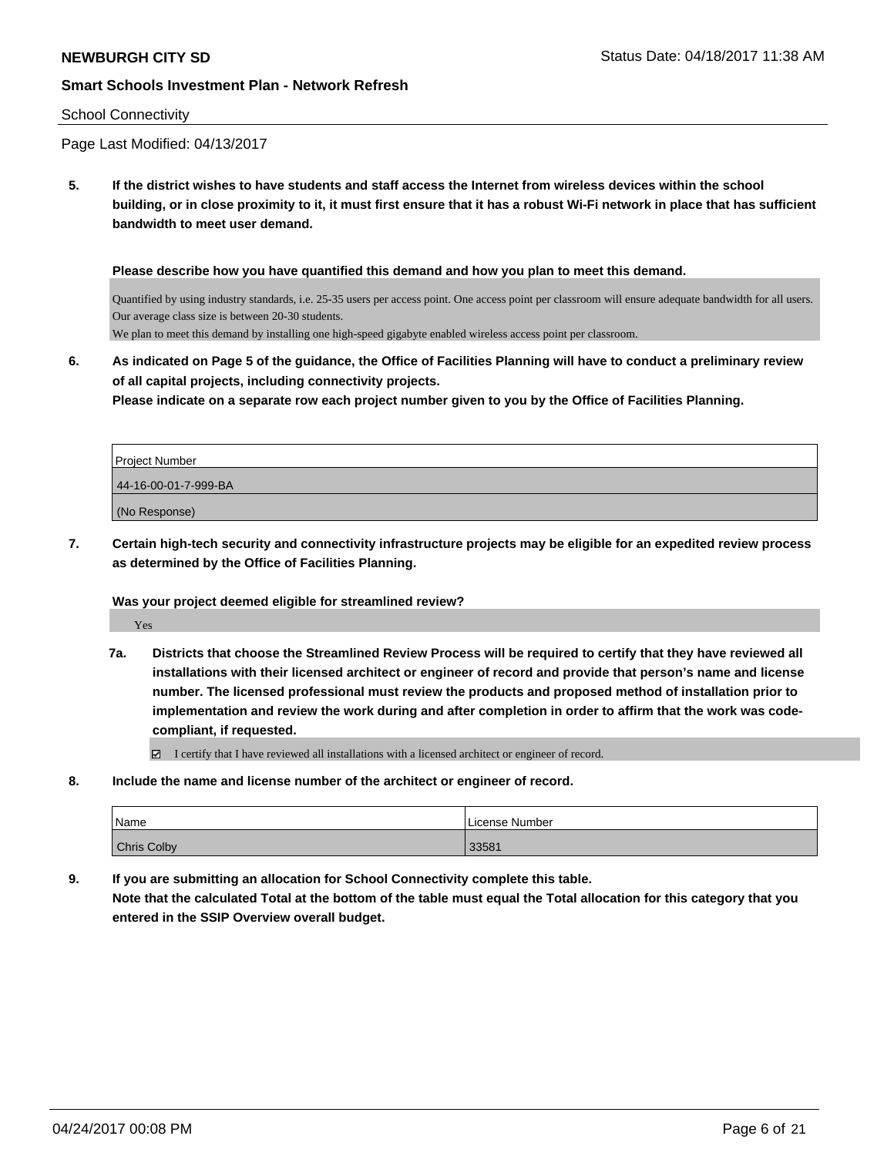#### School Connectivity

Page Last Modified: 04/13/2017

**5. If the district wishes to have students and staff access the Internet from wireless devices within the school building, or in close proximity to it, it must first ensure that it has a robust Wi-Fi network in place that has sufficient bandwidth to meet user demand.**

**Please describe how you have quantified this demand and how you plan to meet this demand.**

Quantified by using industry standards, i.e. 25-35 users per access point. One access point per classroom will ensure adequate bandwidth for all users. Our average class size is between 20-30 students.

We plan to meet this demand by installing one high-speed gigabyte enabled wireless access point per classroom.

**6. As indicated on Page 5 of the guidance, the Office of Facilities Planning will have to conduct a preliminary review of all capital projects, including connectivity projects.**

**Please indicate on a separate row each project number given to you by the Office of Facilities Planning.**

| Project Number       |  |
|----------------------|--|
| 44-16-00-01-7-999-BA |  |
| (No Response)        |  |

**7. Certain high-tech security and connectivity infrastructure projects may be eligible for an expedited review process as determined by the Office of Facilities Planning.**

#### **Was your project deemed eligible for streamlined review?**

Yes

**7a. Districts that choose the Streamlined Review Process will be required to certify that they have reviewed all installations with their licensed architect or engineer of record and provide that person's name and license number. The licensed professional must review the products and proposed method of installation prior to implementation and review the work during and after completion in order to affirm that the work was codecompliant, if requested.**

I certify that I have reviewed all installations with a licensed architect or engineer of record.

**8. Include the name and license number of the architect or engineer of record.**

| Name               | License Number |
|--------------------|----------------|
| <b>Chris Colby</b> | 33581          |

**9. If you are submitting an allocation for School Connectivity complete this table. Note that the calculated Total at the bottom of the table must equal the Total allocation for this category that you entered in the SSIP Overview overall budget.**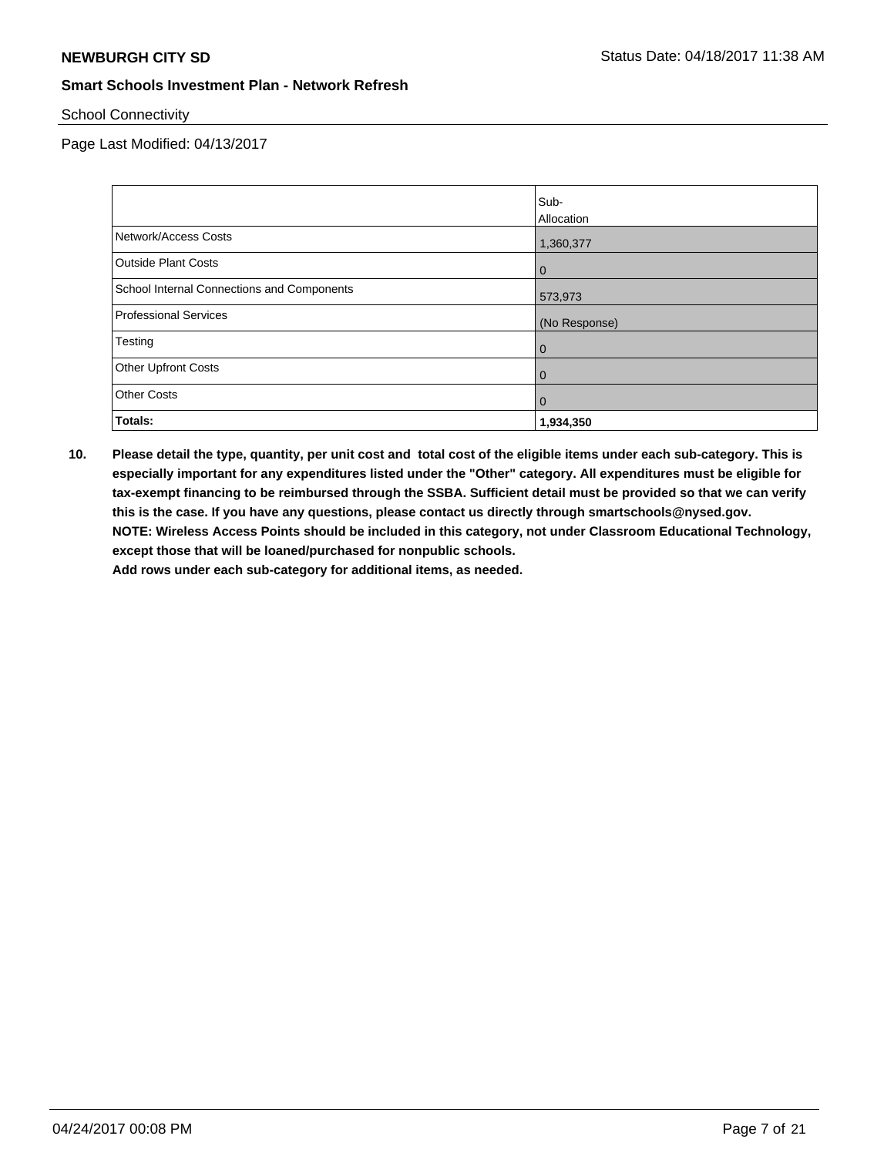School Connectivity

Page Last Modified: 04/13/2017

|                                            | Sub-           |
|--------------------------------------------|----------------|
|                                            | Allocation     |
| Network/Access Costs                       | 1,360,377      |
| <b>Outside Plant Costs</b>                 | $\mathbf 0$    |
| School Internal Connections and Components | 573,973        |
| <b>Professional Services</b>               | (No Response)  |
| Testing                                    | $\mathbf{0}$   |
| <b>Other Upfront Costs</b>                 | $\overline{0}$ |
| <b>Other Costs</b>                         | $\overline{0}$ |
| Totals:                                    | 1,934,350      |

**10. Please detail the type, quantity, per unit cost and total cost of the eligible items under each sub-category. This is especially important for any expenditures listed under the "Other" category. All expenditures must be eligible for tax-exempt financing to be reimbursed through the SSBA. Sufficient detail must be provided so that we can verify this is the case. If you have any questions, please contact us directly through smartschools@nysed.gov. NOTE: Wireless Access Points should be included in this category, not under Classroom Educational Technology, except those that will be loaned/purchased for nonpublic schools.**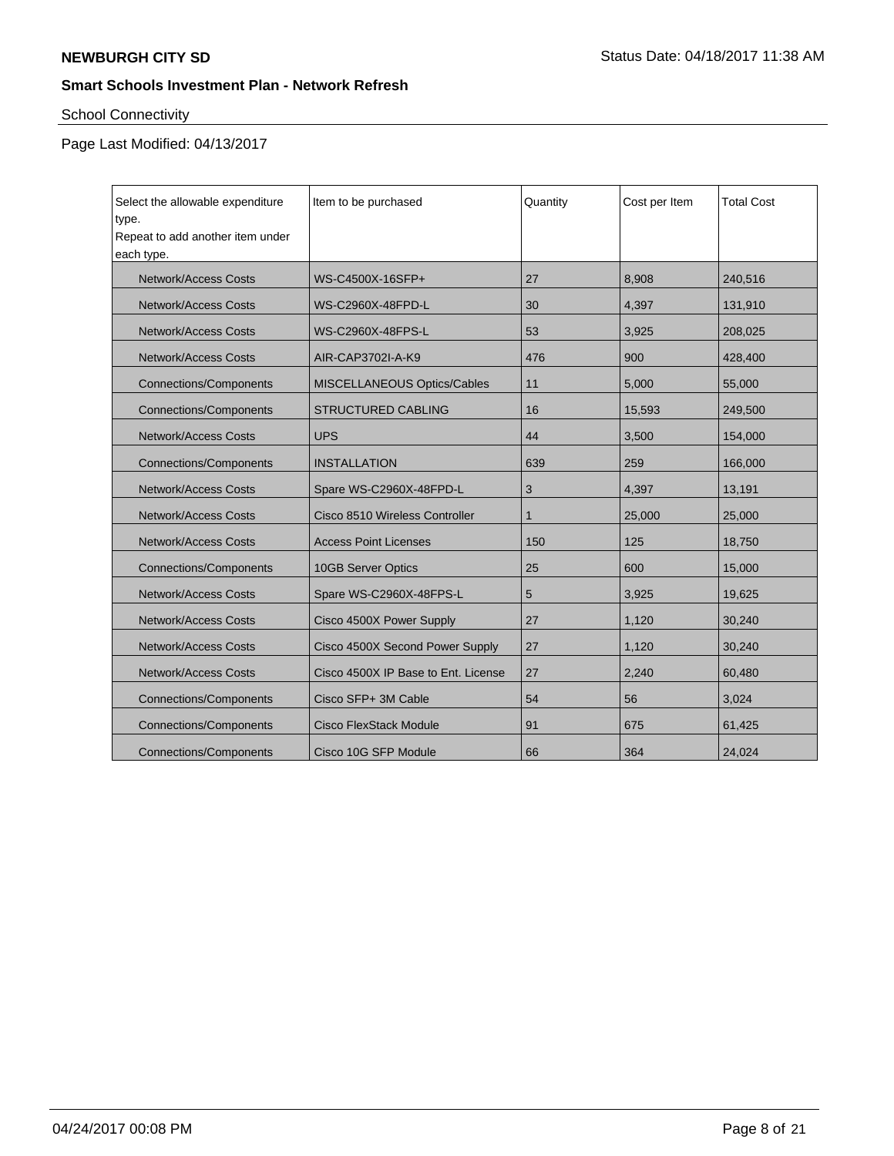# School Connectivity

Page Last Modified: 04/13/2017

| Select the allowable expenditure<br>type.<br>Repeat to add another item under<br>each type. | Item to be purchased                | Quantity | Cost per Item | <b>Total Cost</b> |
|---------------------------------------------------------------------------------------------|-------------------------------------|----------|---------------|-------------------|
| <b>Network/Access Costs</b>                                                                 | WS-C4500X-16SFP+                    | 27       | 8,908         | 240,516           |
| Network/Access Costs                                                                        | WS-C2960X-48FPD-L                   | 30       | 4,397         | 131,910           |
| <b>Network/Access Costs</b>                                                                 | WS-C2960X-48FPS-L                   | 53       | 3,925         | 208,025           |
| Network/Access Costs                                                                        | AIR-CAP3702I-A-K9                   | 476      | 900           | 428,400           |
| <b>Connections/Components</b>                                                               | MISCELLANEOUS Optics/Cables         | 11       | 5,000         | 55,000            |
| <b>Connections/Components</b>                                                               | <b>STRUCTURED CABLING</b>           | 16       | 15,593        | 249,500           |
| Network/Access Costs                                                                        | <b>UPS</b>                          | 44       | 3,500         | 154,000           |
| <b>Connections/Components</b>                                                               | <b>INSTALLATION</b>                 | 639      | 259           | 166,000           |
| <b>Network/Access Costs</b>                                                                 | Spare WS-C2960X-48FPD-L             | 3        | 4,397         | 13,191            |
| <b>Network/Access Costs</b>                                                                 | Cisco 8510 Wireless Controller      | 1        | 25,000        | 25,000            |
| <b>Network/Access Costs</b>                                                                 | <b>Access Point Licenses</b>        | 150      | 125           | 18,750            |
| <b>Connections/Components</b>                                                               | <b>10GB Server Optics</b>           | 25       | 600           | 15,000            |
| <b>Network/Access Costs</b>                                                                 | Spare WS-C2960X-48FPS-L             | 5        | 3,925         | 19,625            |
| <b>Network/Access Costs</b>                                                                 | Cisco 4500X Power Supply            | 27       | 1,120         | 30,240            |
| <b>Network/Access Costs</b>                                                                 | Cisco 4500X Second Power Supply     | 27       | 1,120         | 30,240            |
| <b>Network/Access Costs</b>                                                                 | Cisco 4500X IP Base to Ent. License | 27       | 2,240         | 60,480            |
| <b>Connections/Components</b>                                                               | Cisco SFP+ 3M Cable                 | 54       | 56            | 3,024             |
| <b>Connections/Components</b>                                                               | <b>Cisco FlexStack Module</b>       | 91       | 675           | 61,425            |
| <b>Connections/Components</b>                                                               | Cisco 10G SFP Module                | 66       | 364           | 24,024            |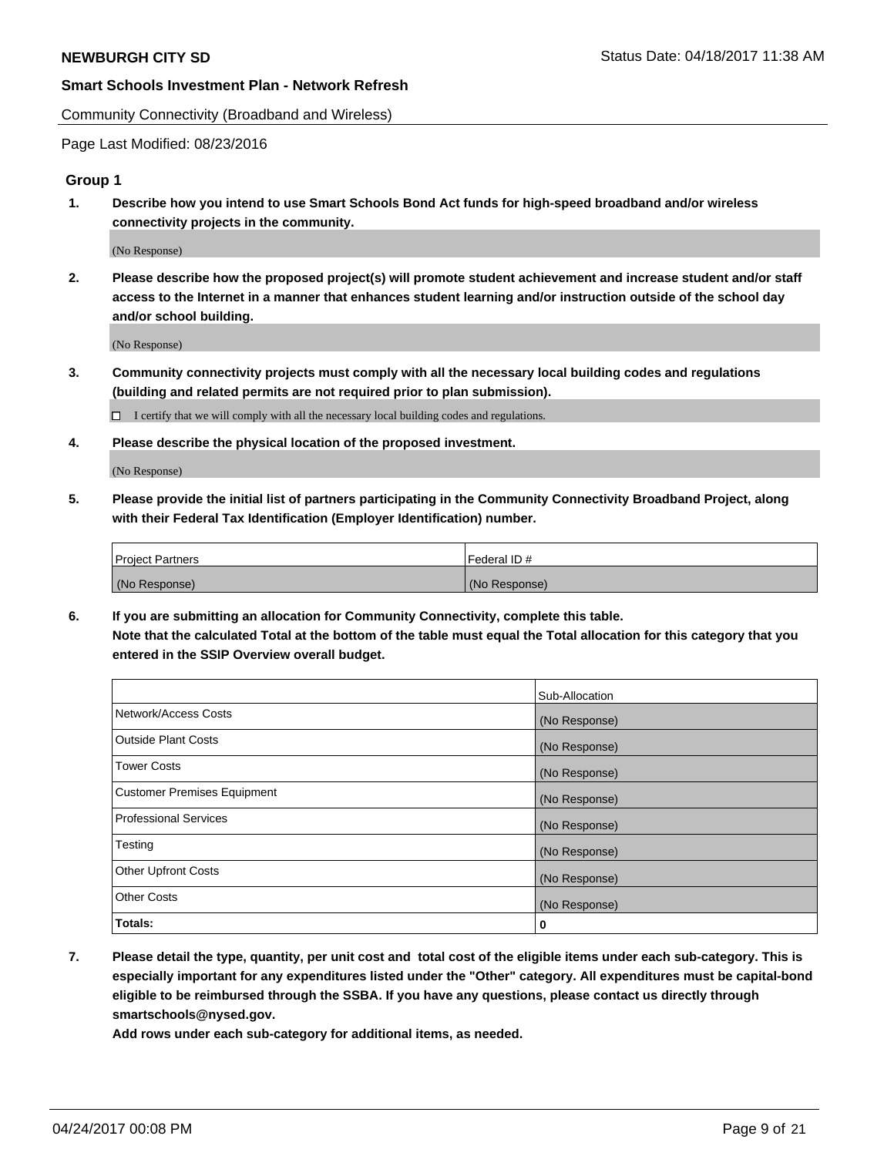Community Connectivity (Broadband and Wireless)

Page Last Modified: 08/23/2016

#### **Group 1**

**1. Describe how you intend to use Smart Schools Bond Act funds for high-speed broadband and/or wireless connectivity projects in the community.**

(No Response)

**2. Please describe how the proposed project(s) will promote student achievement and increase student and/or staff access to the Internet in a manner that enhances student learning and/or instruction outside of the school day and/or school building.**

(No Response)

**3. Community connectivity projects must comply with all the necessary local building codes and regulations (building and related permits are not required prior to plan submission).**

 $\Box$  I certify that we will comply with all the necessary local building codes and regulations.

**4. Please describe the physical location of the proposed investment.**

(No Response)

**5. Please provide the initial list of partners participating in the Community Connectivity Broadband Project, along with their Federal Tax Identification (Employer Identification) number.**

| <b>Project Partners</b> | Federal ID#     |
|-------------------------|-----------------|
| (No Response)           | l (No Response) |

**6. If you are submitting an allocation for Community Connectivity, complete this table. Note that the calculated Total at the bottom of the table must equal the Total allocation for this category that you entered in the SSIP Overview overall budget.**

|                                    | Sub-Allocation |
|------------------------------------|----------------|
| Network/Access Costs               | (No Response)  |
| Outside Plant Costs                | (No Response)  |
| <b>Tower Costs</b>                 | (No Response)  |
| <b>Customer Premises Equipment</b> | (No Response)  |
| <b>Professional Services</b>       | (No Response)  |
| Testing                            | (No Response)  |
| <b>Other Upfront Costs</b>         | (No Response)  |
| <b>Other Costs</b>                 | (No Response)  |
| Totals:                            | 0              |

**7. Please detail the type, quantity, per unit cost and total cost of the eligible items under each sub-category. This is especially important for any expenditures listed under the "Other" category. All expenditures must be capital-bond eligible to be reimbursed through the SSBA. If you have any questions, please contact us directly through smartschools@nysed.gov.**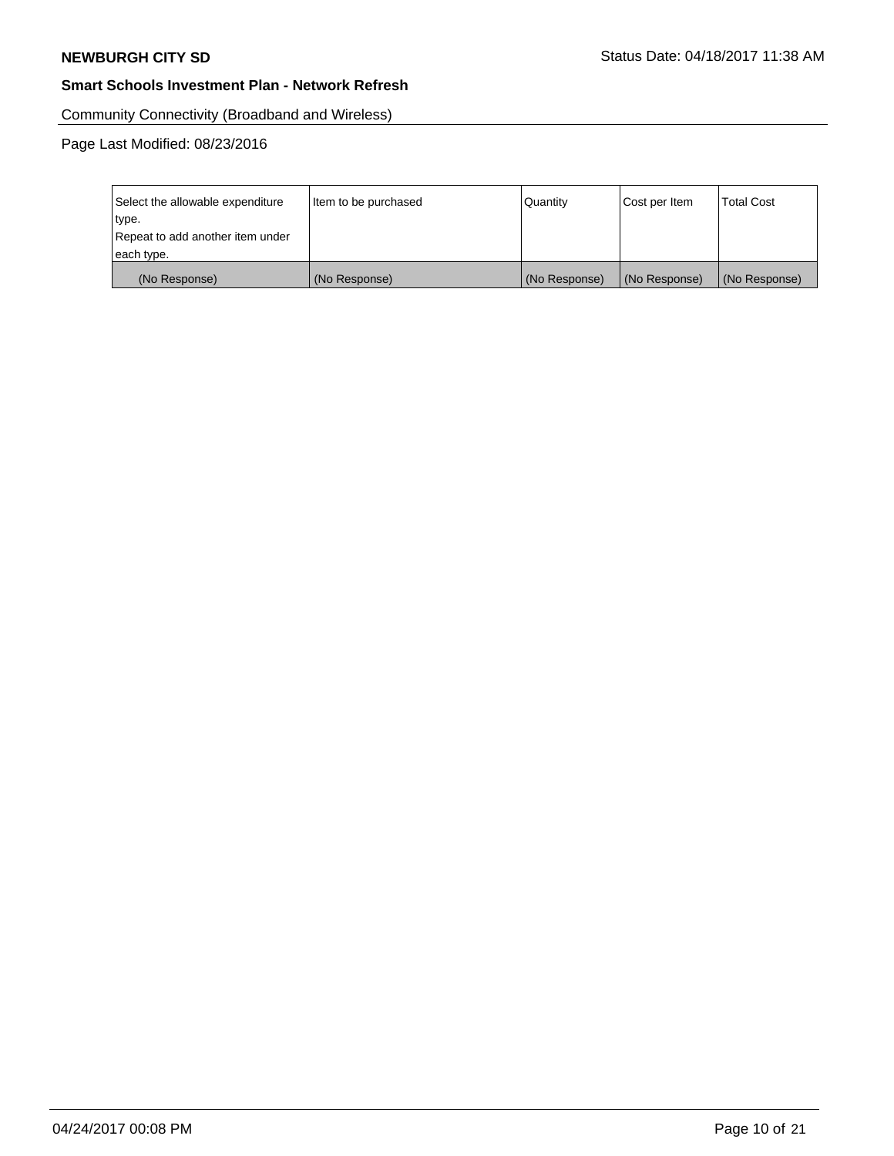Community Connectivity (Broadband and Wireless)

Page Last Modified: 08/23/2016

| Select the allowable expenditure | Item to be purchased | Quantity      | Cost per Item | <b>Total Cost</b> |
|----------------------------------|----------------------|---------------|---------------|-------------------|
| type.                            |                      |               |               |                   |
| Repeat to add another item under |                      |               |               |                   |
| each type.                       |                      |               |               |                   |
| (No Response)                    | (No Response)        | (No Response) | (No Response) | (No Response)     |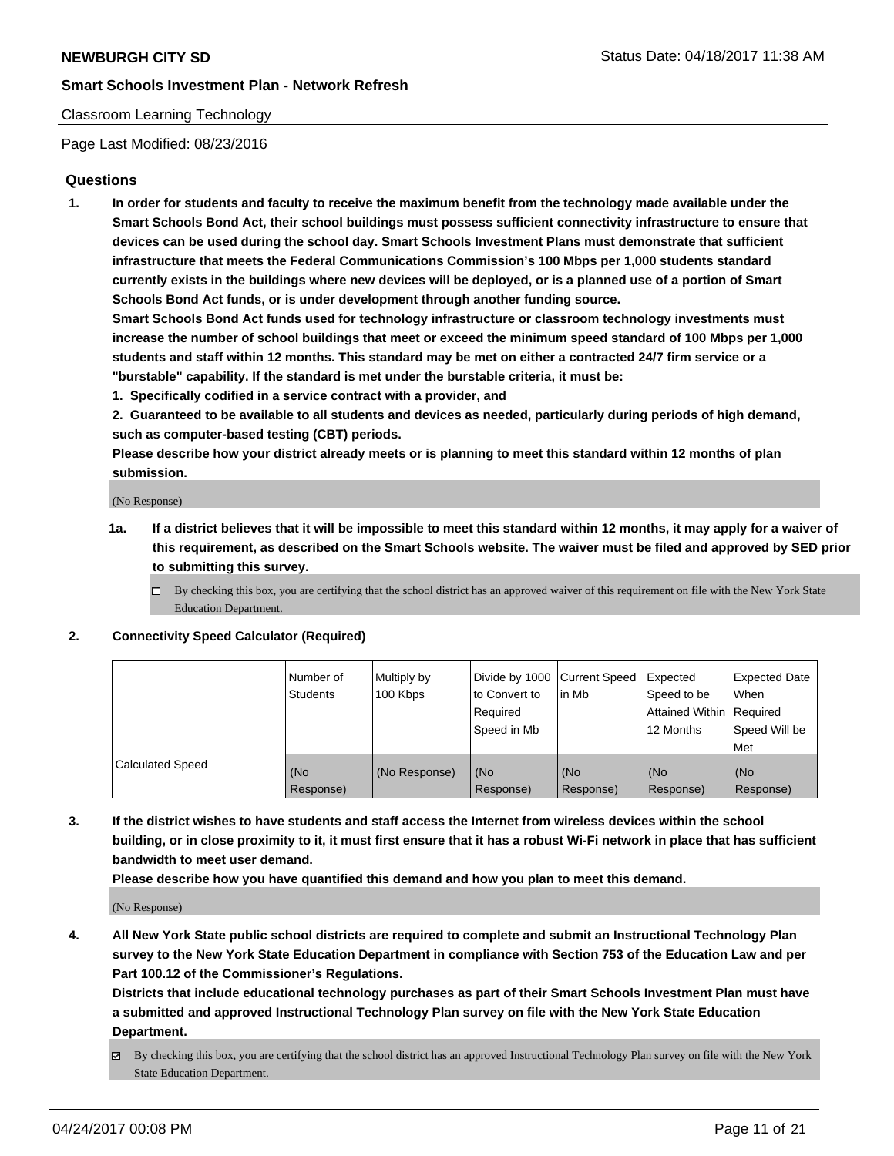#### Classroom Learning Technology

Page Last Modified: 08/23/2016

#### **Questions**

**1. In order for students and faculty to receive the maximum benefit from the technology made available under the Smart Schools Bond Act, their school buildings must possess sufficient connectivity infrastructure to ensure that devices can be used during the school day. Smart Schools Investment Plans must demonstrate that sufficient infrastructure that meets the Federal Communications Commission's 100 Mbps per 1,000 students standard currently exists in the buildings where new devices will be deployed, or is a planned use of a portion of Smart Schools Bond Act funds, or is under development through another funding source.**

**Smart Schools Bond Act funds used for technology infrastructure or classroom technology investments must increase the number of school buildings that meet or exceed the minimum speed standard of 100 Mbps per 1,000 students and staff within 12 months. This standard may be met on either a contracted 24/7 firm service or a "burstable" capability. If the standard is met under the burstable criteria, it must be:**

- **1. Specifically codified in a service contract with a provider, and**
- **2. Guaranteed to be available to all students and devices as needed, particularly during periods of high demand, such as computer-based testing (CBT) periods.**

**Please describe how your district already meets or is planning to meet this standard within 12 months of plan submission.**

(No Response)

- **1a. If a district believes that it will be impossible to meet this standard within 12 months, it may apply for a waiver of this requirement, as described on the Smart Schools website. The waiver must be filed and approved by SED prior to submitting this survey.**
	- $\Box$  By checking this box, you are certifying that the school district has an approved waiver of this requirement on file with the New York State Education Department.

#### **2. Connectivity Speed Calculator (Required)**

|                         | l Number of<br>Students | Multiply by<br>100 Kbps | Divide by 1000   Current Speed<br>to Convert to<br>Required<br>Speed in Mb | lin Mb           | Expected<br>Speed to be<br>Attained Within Required<br>12 Months | <b>Expected Date</b><br>When<br>Speed Will be<br>Met |
|-------------------------|-------------------------|-------------------------|----------------------------------------------------------------------------|------------------|------------------------------------------------------------------|------------------------------------------------------|
| <b>Calculated Speed</b> | (No<br>Response)        | (No Response)           | (No<br>Response)                                                           | (No<br>Response) | (No<br>Response)                                                 | (No<br>Response)                                     |

**3. If the district wishes to have students and staff access the Internet from wireless devices within the school building, or in close proximity to it, it must first ensure that it has a robust Wi-Fi network in place that has sufficient bandwidth to meet user demand.**

**Please describe how you have quantified this demand and how you plan to meet this demand.**

(No Response)

**4. All New York State public school districts are required to complete and submit an Instructional Technology Plan survey to the New York State Education Department in compliance with Section 753 of the Education Law and per Part 100.12 of the Commissioner's Regulations.**

**Districts that include educational technology purchases as part of their Smart Schools Investment Plan must have a submitted and approved Instructional Technology Plan survey on file with the New York State Education Department.**

 $\boxtimes$  By checking this box, you are certifying that the school district has an approved Instructional Technology Plan survey on file with the New York State Education Department.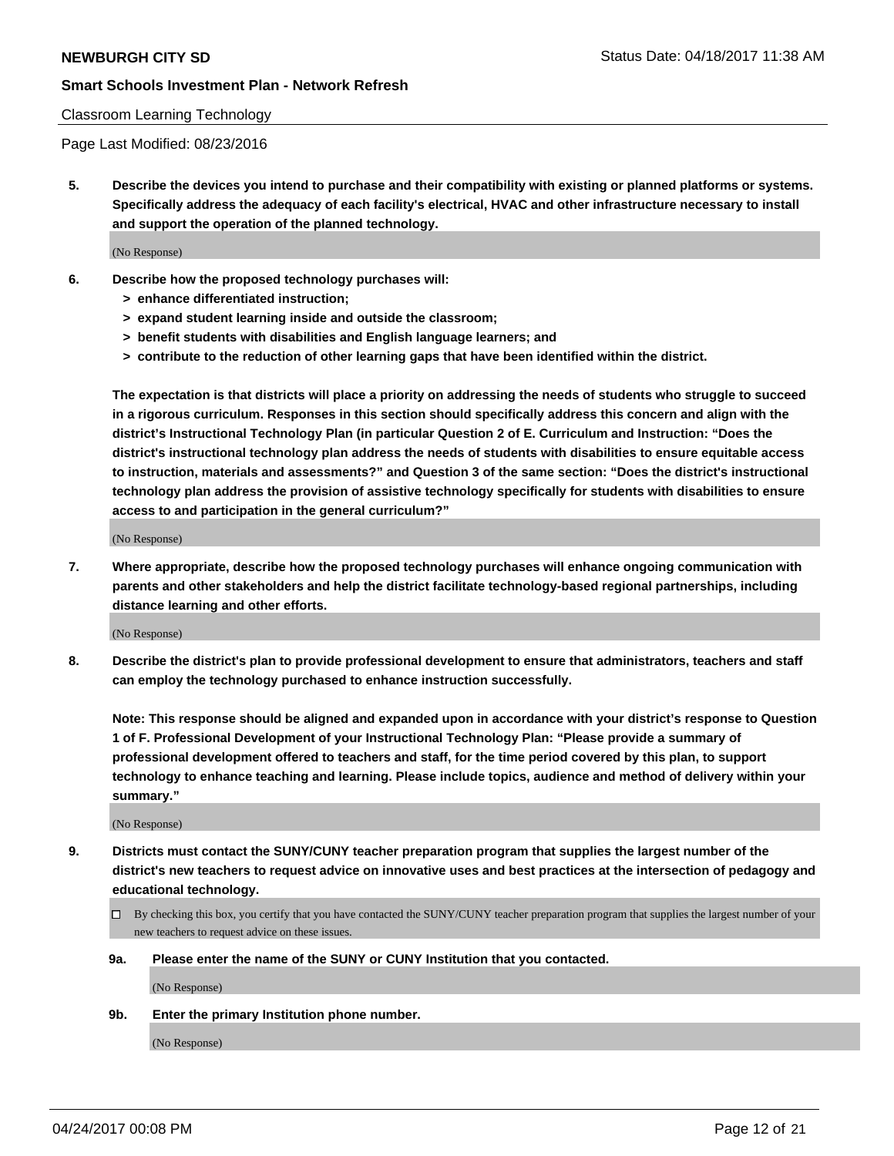#### Classroom Learning Technology

Page Last Modified: 08/23/2016

**5. Describe the devices you intend to purchase and their compatibility with existing or planned platforms or systems. Specifically address the adequacy of each facility's electrical, HVAC and other infrastructure necessary to install and support the operation of the planned technology.**

(No Response)

- **6. Describe how the proposed technology purchases will:**
	- **> enhance differentiated instruction;**
	- **> expand student learning inside and outside the classroom;**
	- **> benefit students with disabilities and English language learners; and**
	- **> contribute to the reduction of other learning gaps that have been identified within the district.**

**The expectation is that districts will place a priority on addressing the needs of students who struggle to succeed in a rigorous curriculum. Responses in this section should specifically address this concern and align with the district's Instructional Technology Plan (in particular Question 2 of E. Curriculum and Instruction: "Does the district's instructional technology plan address the needs of students with disabilities to ensure equitable access to instruction, materials and assessments?" and Question 3 of the same section: "Does the district's instructional technology plan address the provision of assistive technology specifically for students with disabilities to ensure access to and participation in the general curriculum?"**

(No Response)

**7. Where appropriate, describe how the proposed technology purchases will enhance ongoing communication with parents and other stakeholders and help the district facilitate technology-based regional partnerships, including distance learning and other efforts.**

(No Response)

**8. Describe the district's plan to provide professional development to ensure that administrators, teachers and staff can employ the technology purchased to enhance instruction successfully.**

**Note: This response should be aligned and expanded upon in accordance with your district's response to Question 1 of F. Professional Development of your Instructional Technology Plan: "Please provide a summary of professional development offered to teachers and staff, for the time period covered by this plan, to support technology to enhance teaching and learning. Please include topics, audience and method of delivery within your summary."**

(No Response)

- **9. Districts must contact the SUNY/CUNY teacher preparation program that supplies the largest number of the district's new teachers to request advice on innovative uses and best practices at the intersection of pedagogy and educational technology.**
	- By checking this box, you certify that you have contacted the SUNY/CUNY teacher preparation program that supplies the largest number of your new teachers to request advice on these issues.
	- **9a. Please enter the name of the SUNY or CUNY Institution that you contacted.**

(No Response)

**9b. Enter the primary Institution phone number.**

(No Response)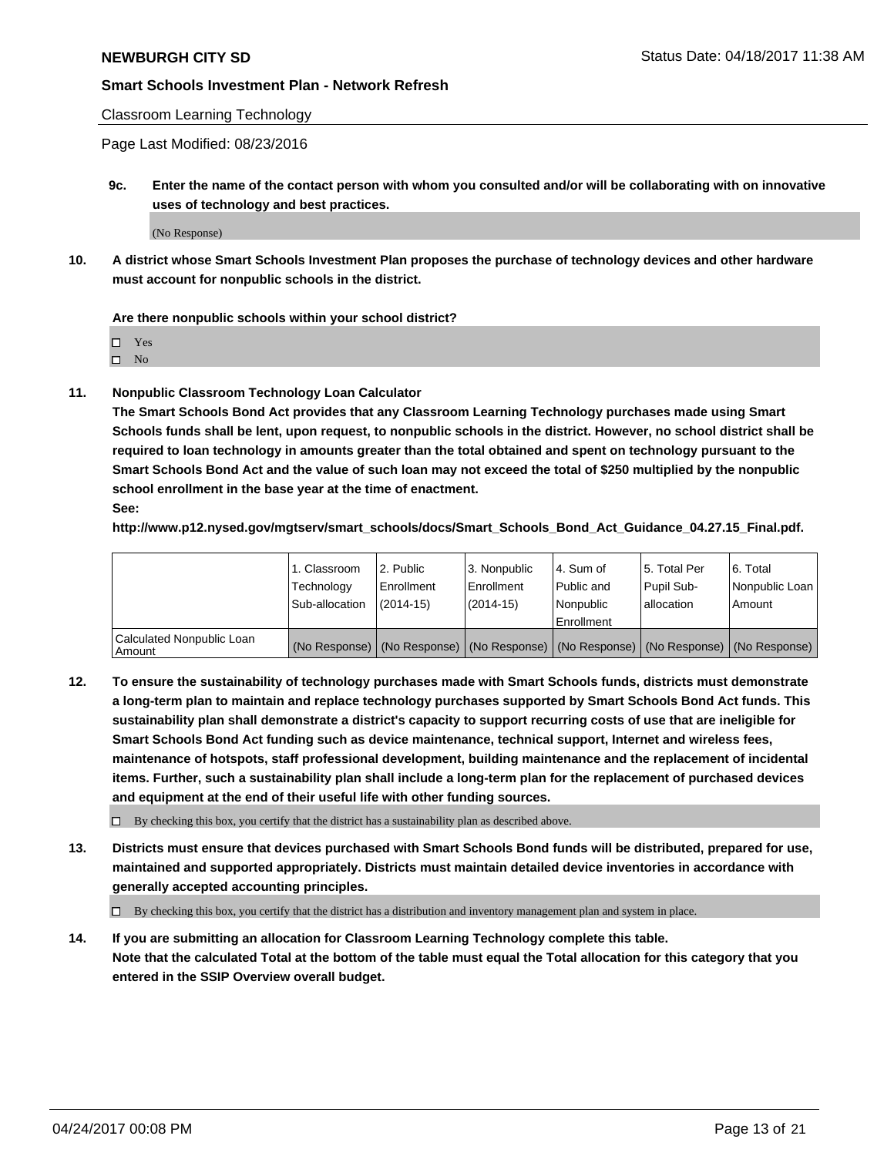Classroom Learning Technology

Page Last Modified: 08/23/2016

**9c. Enter the name of the contact person with whom you consulted and/or will be collaborating with on innovative uses of technology and best practices.**

(No Response)

**10. A district whose Smart Schools Investment Plan proposes the purchase of technology devices and other hardware must account for nonpublic schools in the district.**

**Are there nonpublic schools within your school district?**

Yes

 $\square$  No

**11. Nonpublic Classroom Technology Loan Calculator**

**The Smart Schools Bond Act provides that any Classroom Learning Technology purchases made using Smart Schools funds shall be lent, upon request, to nonpublic schools in the district. However, no school district shall be required to loan technology in amounts greater than the total obtained and spent on technology pursuant to the Smart Schools Bond Act and the value of such loan may not exceed the total of \$250 multiplied by the nonpublic school enrollment in the base year at the time of enactment.**

**See:**

**http://www.p12.nysed.gov/mgtserv/smart\_schools/docs/Smart\_Schools\_Bond\_Act\_Guidance\_04.27.15\_Final.pdf.**

|                                       | 1. Classroom   | l 2. Public   | 3. Nonpublic | l 4. Sum of | 15. Total Per                                                                                 | 6. Total       |
|---------------------------------------|----------------|---------------|--------------|-------------|-----------------------------------------------------------------------------------------------|----------------|
|                                       | Technology     | Enrollment    | Enrollment   | Public and  | Pupil Sub-                                                                                    | Nonpublic Loan |
|                                       | Sub-allocation | $(2014 - 15)$ | $(2014-15)$  | l Nonpublic | allocation                                                                                    | Amount         |
|                                       |                |               |              | Enrollment  |                                                                                               |                |
| Calculated Nonpublic Loan<br>  Amount |                |               |              |             | (No Response)   (No Response)   (No Response)   (No Response)   (No Response)   (No Response) |                |

**12. To ensure the sustainability of technology purchases made with Smart Schools funds, districts must demonstrate a long-term plan to maintain and replace technology purchases supported by Smart Schools Bond Act funds. This sustainability plan shall demonstrate a district's capacity to support recurring costs of use that are ineligible for Smart Schools Bond Act funding such as device maintenance, technical support, Internet and wireless fees, maintenance of hotspots, staff professional development, building maintenance and the replacement of incidental items. Further, such a sustainability plan shall include a long-term plan for the replacement of purchased devices and equipment at the end of their useful life with other funding sources.**

 $\Box$  By checking this box, you certify that the district has a sustainability plan as described above.

**13. Districts must ensure that devices purchased with Smart Schools Bond funds will be distributed, prepared for use, maintained and supported appropriately. Districts must maintain detailed device inventories in accordance with generally accepted accounting principles.**

By checking this box, you certify that the district has a distribution and inventory management plan and system in place.

**14. If you are submitting an allocation for Classroom Learning Technology complete this table. Note that the calculated Total at the bottom of the table must equal the Total allocation for this category that you entered in the SSIP Overview overall budget.**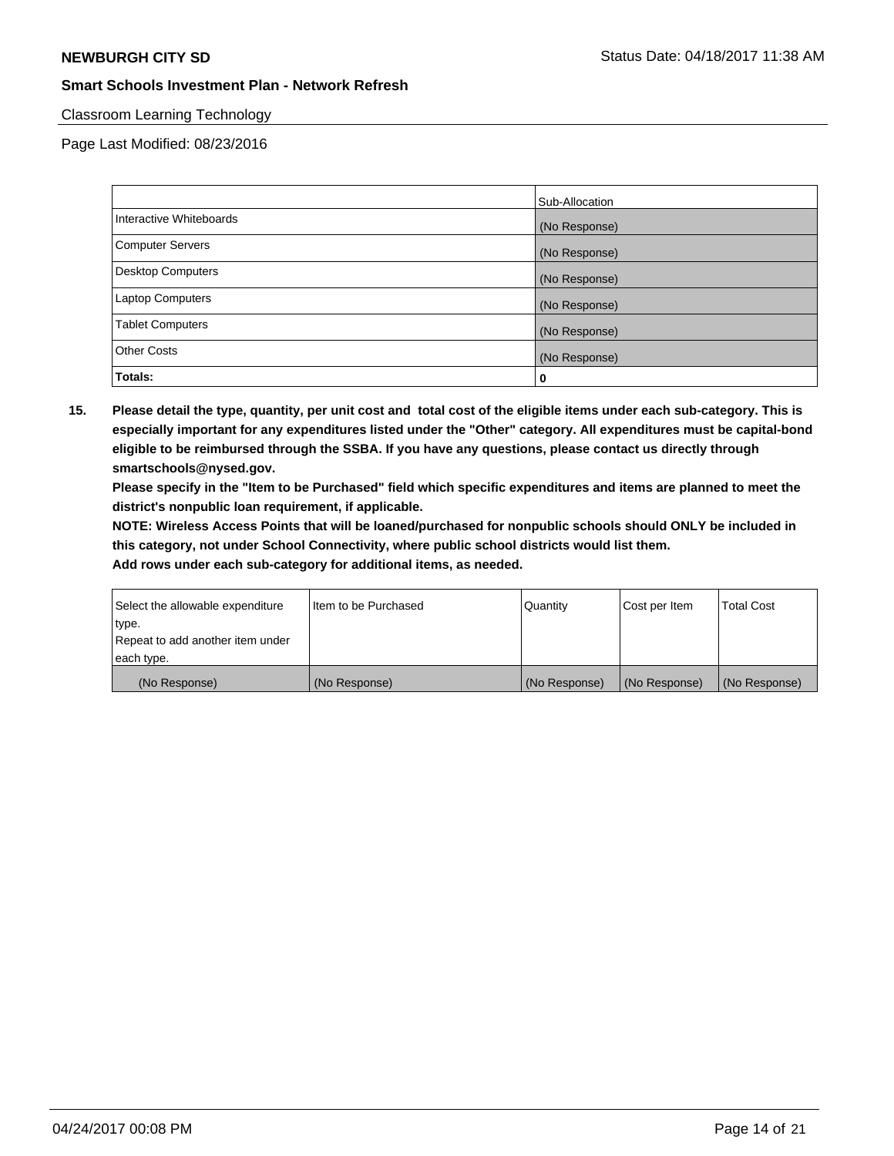### Classroom Learning Technology

Page Last Modified: 08/23/2016

|                         | Sub-Allocation |
|-------------------------|----------------|
| Interactive Whiteboards | (No Response)  |
| <b>Computer Servers</b> | (No Response)  |
| Desktop Computers       | (No Response)  |
| <b>Laptop Computers</b> | (No Response)  |
| <b>Tablet Computers</b> | (No Response)  |
| <b>Other Costs</b>      | (No Response)  |
| Totals:                 | 0              |

**15. Please detail the type, quantity, per unit cost and total cost of the eligible items under each sub-category. This is especially important for any expenditures listed under the "Other" category. All expenditures must be capital-bond eligible to be reimbursed through the SSBA. If you have any questions, please contact us directly through smartschools@nysed.gov.**

**Please specify in the "Item to be Purchased" field which specific expenditures and items are planned to meet the district's nonpublic loan requirement, if applicable.**

**NOTE: Wireless Access Points that will be loaned/purchased for nonpublic schools should ONLY be included in this category, not under School Connectivity, where public school districts would list them.**

| Select the allowable expenditure<br>∣type. | Iltem to be Purchased | Quantity      | Cost per Item | <b>Total Cost</b> |
|--------------------------------------------|-----------------------|---------------|---------------|-------------------|
| Repeat to add another item under           |                       |               |               |                   |
| each type.                                 |                       |               |               |                   |
| (No Response)                              | (No Response)         | (No Response) | (No Response) | (No Response)     |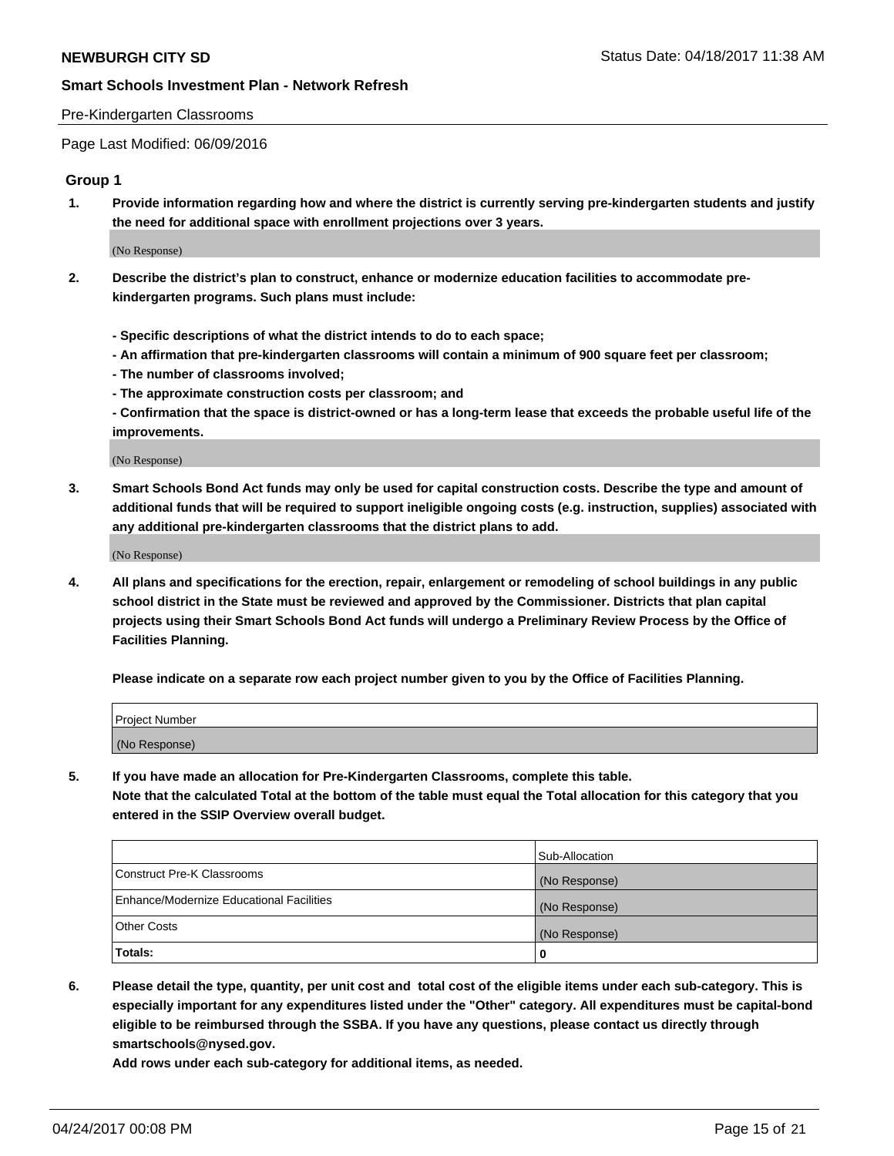#### Pre-Kindergarten Classrooms

Page Last Modified: 06/09/2016

#### **Group 1**

**1. Provide information regarding how and where the district is currently serving pre-kindergarten students and justify the need for additional space with enrollment projections over 3 years.**

(No Response)

- **2. Describe the district's plan to construct, enhance or modernize education facilities to accommodate prekindergarten programs. Such plans must include:**
	- **Specific descriptions of what the district intends to do to each space;**
	- **An affirmation that pre-kindergarten classrooms will contain a minimum of 900 square feet per classroom;**
	- **The number of classrooms involved;**
	- **The approximate construction costs per classroom; and**
	- **Confirmation that the space is district-owned or has a long-term lease that exceeds the probable useful life of the improvements.**

(No Response)

**3. Smart Schools Bond Act funds may only be used for capital construction costs. Describe the type and amount of additional funds that will be required to support ineligible ongoing costs (e.g. instruction, supplies) associated with any additional pre-kindergarten classrooms that the district plans to add.**

(No Response)

**4. All plans and specifications for the erection, repair, enlargement or remodeling of school buildings in any public school district in the State must be reviewed and approved by the Commissioner. Districts that plan capital projects using their Smart Schools Bond Act funds will undergo a Preliminary Review Process by the Office of Facilities Planning.**

**Please indicate on a separate row each project number given to you by the Office of Facilities Planning.**

| Project Number |  |
|----------------|--|
| (No Response)  |  |

**5. If you have made an allocation for Pre-Kindergarten Classrooms, complete this table. Note that the calculated Total at the bottom of the table must equal the Total allocation for this category that you entered in the SSIP Overview overall budget.**

| Totals:                                  | 0              |
|------------------------------------------|----------------|
| Other Costs                              | (No Response)  |
| Enhance/Modernize Educational Facilities | (No Response)  |
| Construct Pre-K Classrooms               | (No Response)  |
|                                          | Sub-Allocation |

**6. Please detail the type, quantity, per unit cost and total cost of the eligible items under each sub-category. This is especially important for any expenditures listed under the "Other" category. All expenditures must be capital-bond eligible to be reimbursed through the SSBA. If you have any questions, please contact us directly through smartschools@nysed.gov.**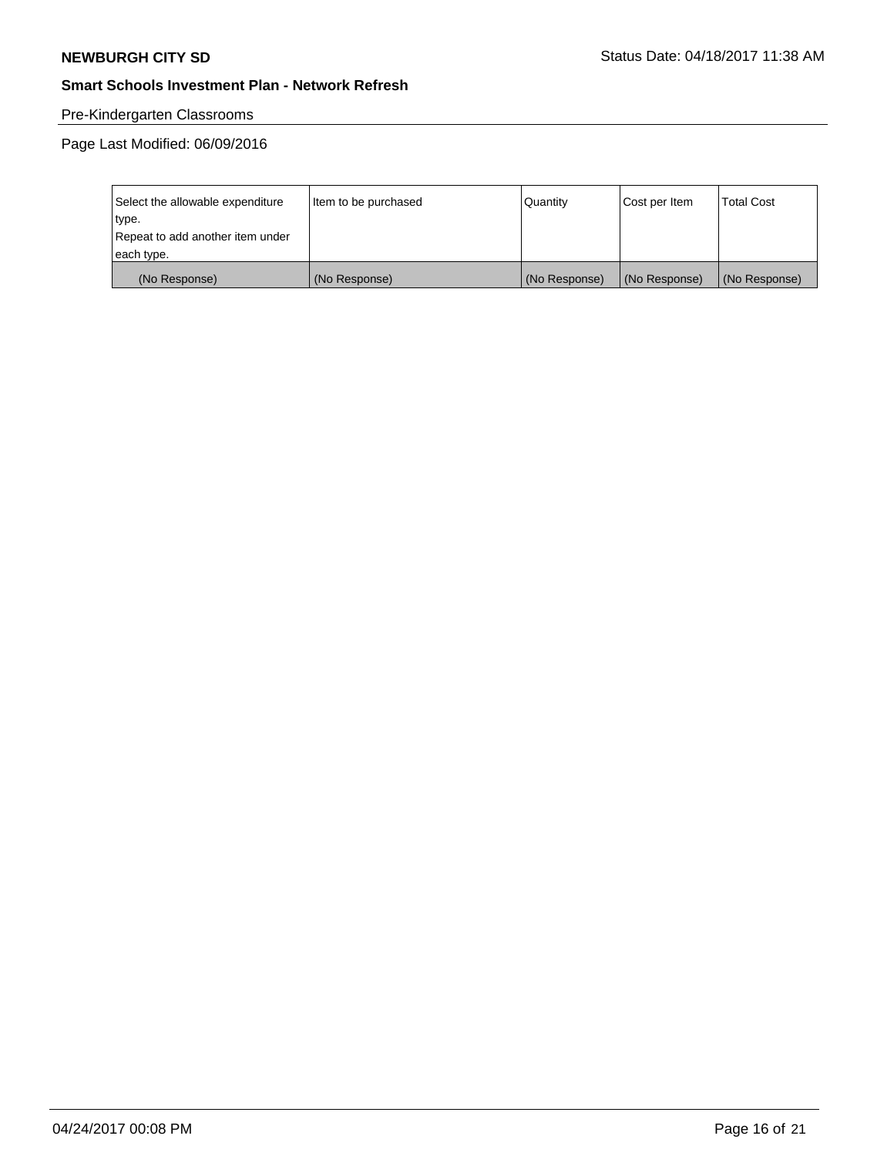## Pre-Kindergarten Classrooms

Page Last Modified: 06/09/2016

| Select the allowable expenditure | Item to be purchased | Quantity      | Cost per Item | <b>Total Cost</b> |
|----------------------------------|----------------------|---------------|---------------|-------------------|
| type.                            |                      |               |               |                   |
| Repeat to add another item under |                      |               |               |                   |
| each type.                       |                      |               |               |                   |
| (No Response)                    | (No Response)        | (No Response) | (No Response) | (No Response)     |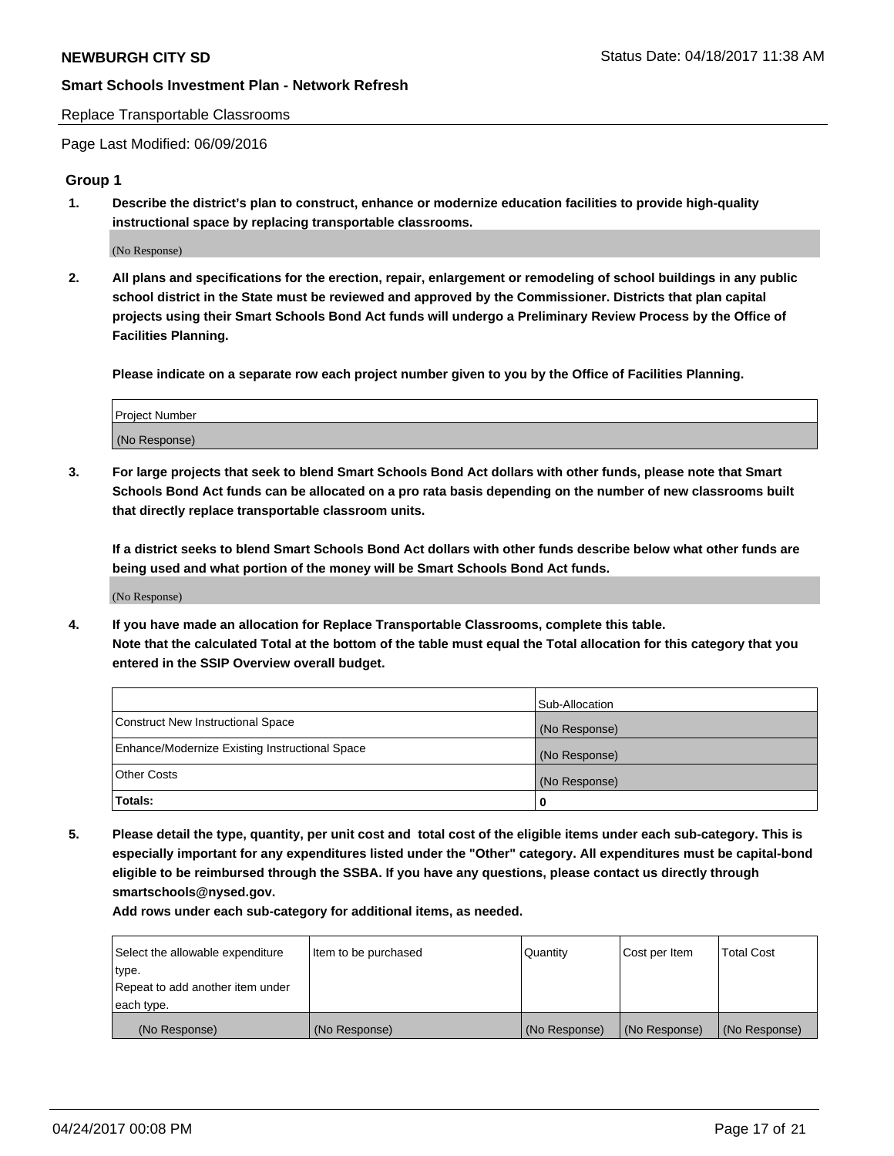#### Replace Transportable Classrooms

Page Last Modified: 06/09/2016

#### **Group 1**

**1. Describe the district's plan to construct, enhance or modernize education facilities to provide high-quality instructional space by replacing transportable classrooms.**

(No Response)

**2. All plans and specifications for the erection, repair, enlargement or remodeling of school buildings in any public school district in the State must be reviewed and approved by the Commissioner. Districts that plan capital projects using their Smart Schools Bond Act funds will undergo a Preliminary Review Process by the Office of Facilities Planning.**

**Please indicate on a separate row each project number given to you by the Office of Facilities Planning.**

| Project Number |  |
|----------------|--|
| (No Response)  |  |

**3. For large projects that seek to blend Smart Schools Bond Act dollars with other funds, please note that Smart Schools Bond Act funds can be allocated on a pro rata basis depending on the number of new classrooms built that directly replace transportable classroom units.**

**If a district seeks to blend Smart Schools Bond Act dollars with other funds describe below what other funds are being used and what portion of the money will be Smart Schools Bond Act funds.**

(No Response)

**4. If you have made an allocation for Replace Transportable Classrooms, complete this table. Note that the calculated Total at the bottom of the table must equal the Total allocation for this category that you entered in the SSIP Overview overall budget.**

|                                                | Sub-Allocation |
|------------------------------------------------|----------------|
| Construct New Instructional Space              | (No Response)  |
| Enhance/Modernize Existing Instructional Space | (No Response)  |
| Other Costs                                    | (No Response)  |
| Totals:                                        | $\Omega$       |

**5. Please detail the type, quantity, per unit cost and total cost of the eligible items under each sub-category. This is especially important for any expenditures listed under the "Other" category. All expenditures must be capital-bond eligible to be reimbursed through the SSBA. If you have any questions, please contact us directly through smartschools@nysed.gov.**

| Select the allowable expenditure | Item to be purchased | Quantity      | Cost per Item | <b>Total Cost</b> |
|----------------------------------|----------------------|---------------|---------------|-------------------|
| type.                            |                      |               |               |                   |
| Repeat to add another item under |                      |               |               |                   |
| each type.                       |                      |               |               |                   |
| (No Response)                    | (No Response)        | (No Response) | (No Response) | (No Response)     |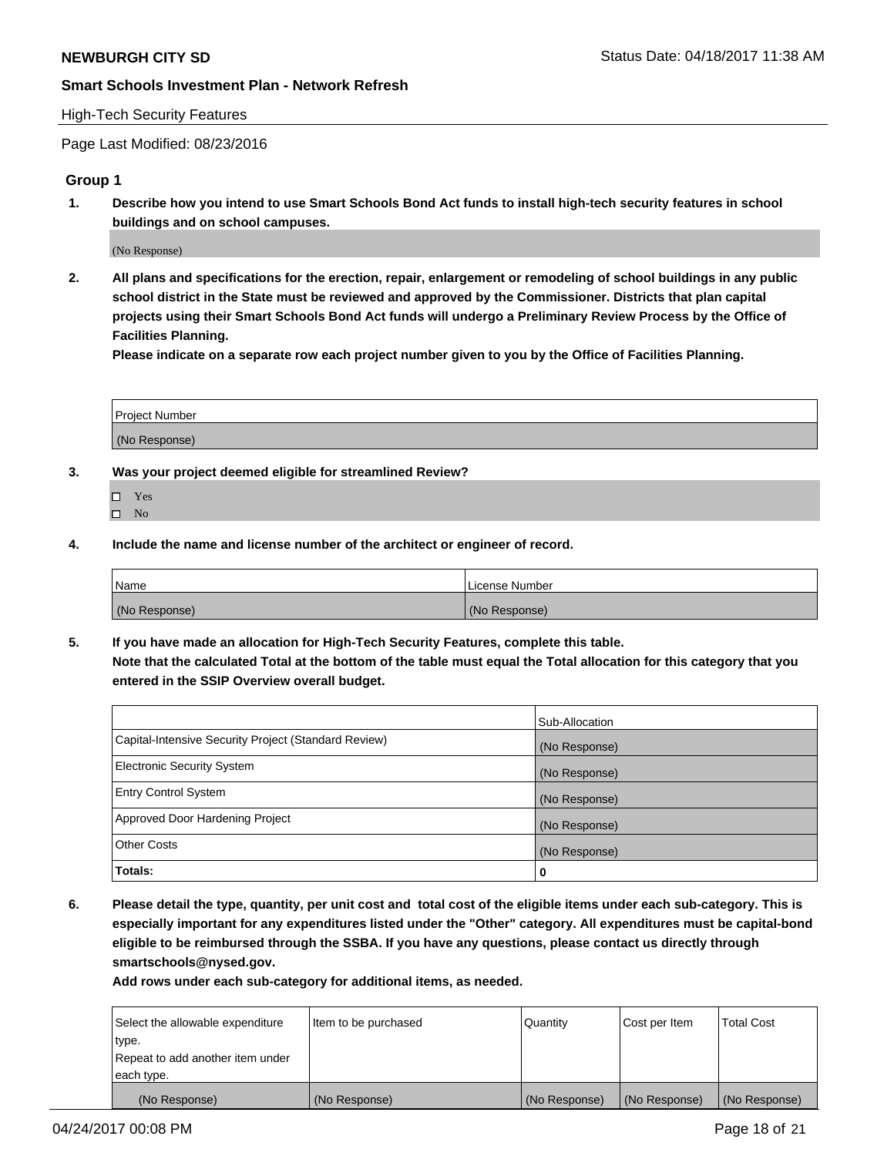#### High-Tech Security Features

Page Last Modified: 08/23/2016

#### **Group 1**

**1. Describe how you intend to use Smart Schools Bond Act funds to install high-tech security features in school buildings and on school campuses.**

(No Response)

**2. All plans and specifications for the erection, repair, enlargement or remodeling of school buildings in any public school district in the State must be reviewed and approved by the Commissioner. Districts that plan capital projects using their Smart Schools Bond Act funds will undergo a Preliminary Review Process by the Office of Facilities Planning.** 

**Please indicate on a separate row each project number given to you by the Office of Facilities Planning.**

| Project Number |  |
|----------------|--|
|                |  |
|                |  |
|                |  |
| (No Response)  |  |
|                |  |

- **3. Was your project deemed eligible for streamlined Review?**
	- Yes  $\hfill \square$  No
- **4. Include the name and license number of the architect or engineer of record.**

| <b>Name</b>   | License Number |
|---------------|----------------|
| (No Response) | (No Response)  |

**5. If you have made an allocation for High-Tech Security Features, complete this table. Note that the calculated Total at the bottom of the table must equal the Total allocation for this category that you entered in the SSIP Overview overall budget.**

|                                                      | Sub-Allocation |
|------------------------------------------------------|----------------|
| Capital-Intensive Security Project (Standard Review) | (No Response)  |
| Electronic Security System                           | (No Response)  |
| <b>Entry Control System</b>                          | (No Response)  |
| Approved Door Hardening Project                      | (No Response)  |
| <b>Other Costs</b>                                   | (No Response)  |
| Totals:                                              | 0              |

**6. Please detail the type, quantity, per unit cost and total cost of the eligible items under each sub-category. This is especially important for any expenditures listed under the "Other" category. All expenditures must be capital-bond eligible to be reimbursed through the SSBA. If you have any questions, please contact us directly through smartschools@nysed.gov.**

| (No Response)                    | (No Response)        | (No Response)   | (No Response) | (No Response)     |
|----------------------------------|----------------------|-----------------|---------------|-------------------|
| each type.                       |                      |                 |               |                   |
| Repeat to add another item under |                      |                 |               |                   |
| type.                            |                      |                 |               |                   |
| Select the allowable expenditure | Item to be purchased | <b>Quantity</b> | Cost per Item | <b>Total Cost</b> |
|                                  |                      |                 |               |                   |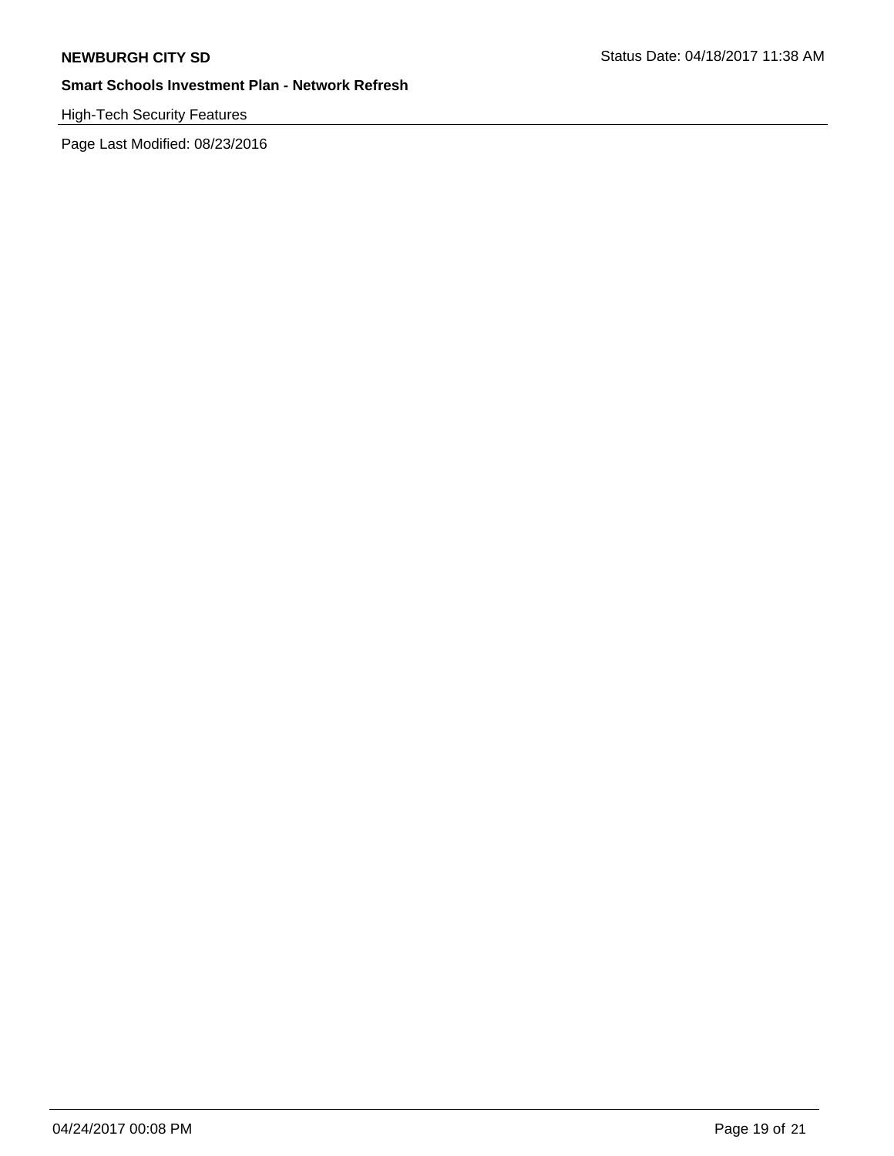# High-Tech Security Features

Page Last Modified: 08/23/2016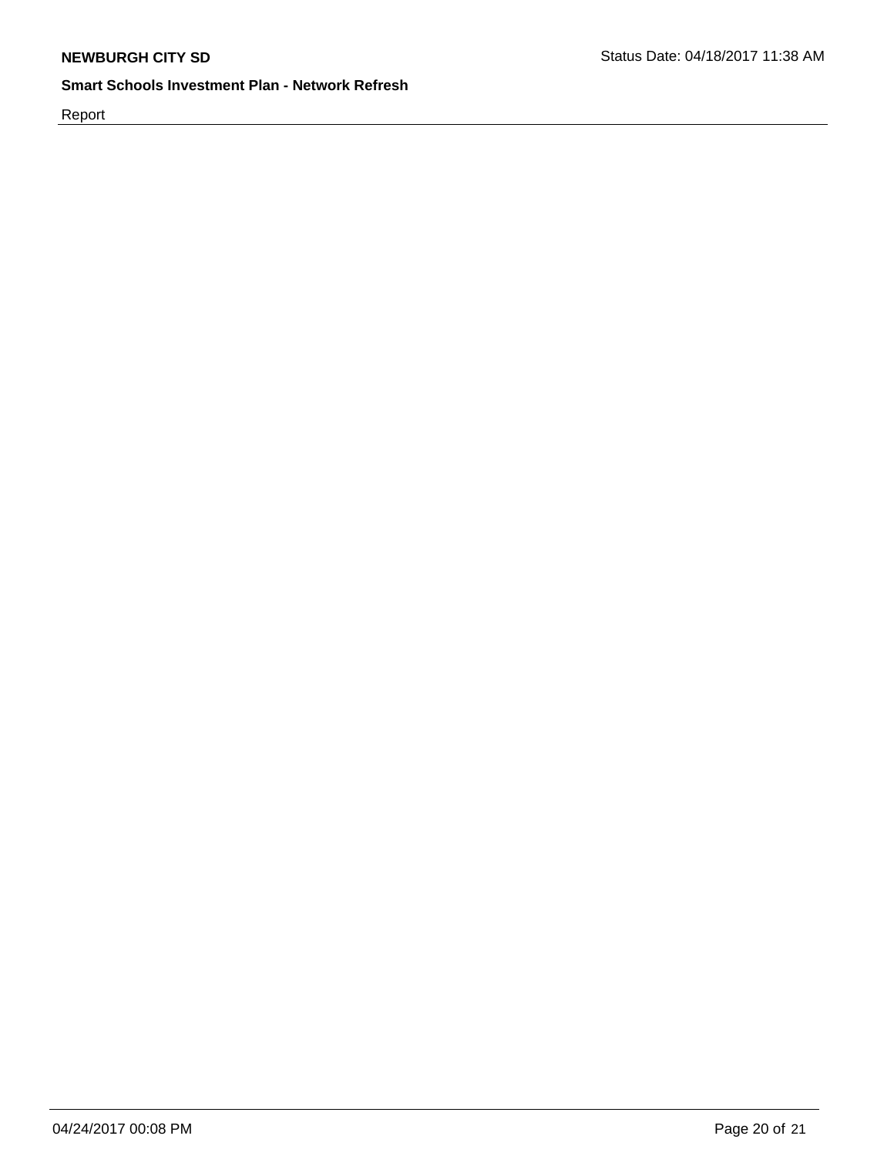Report